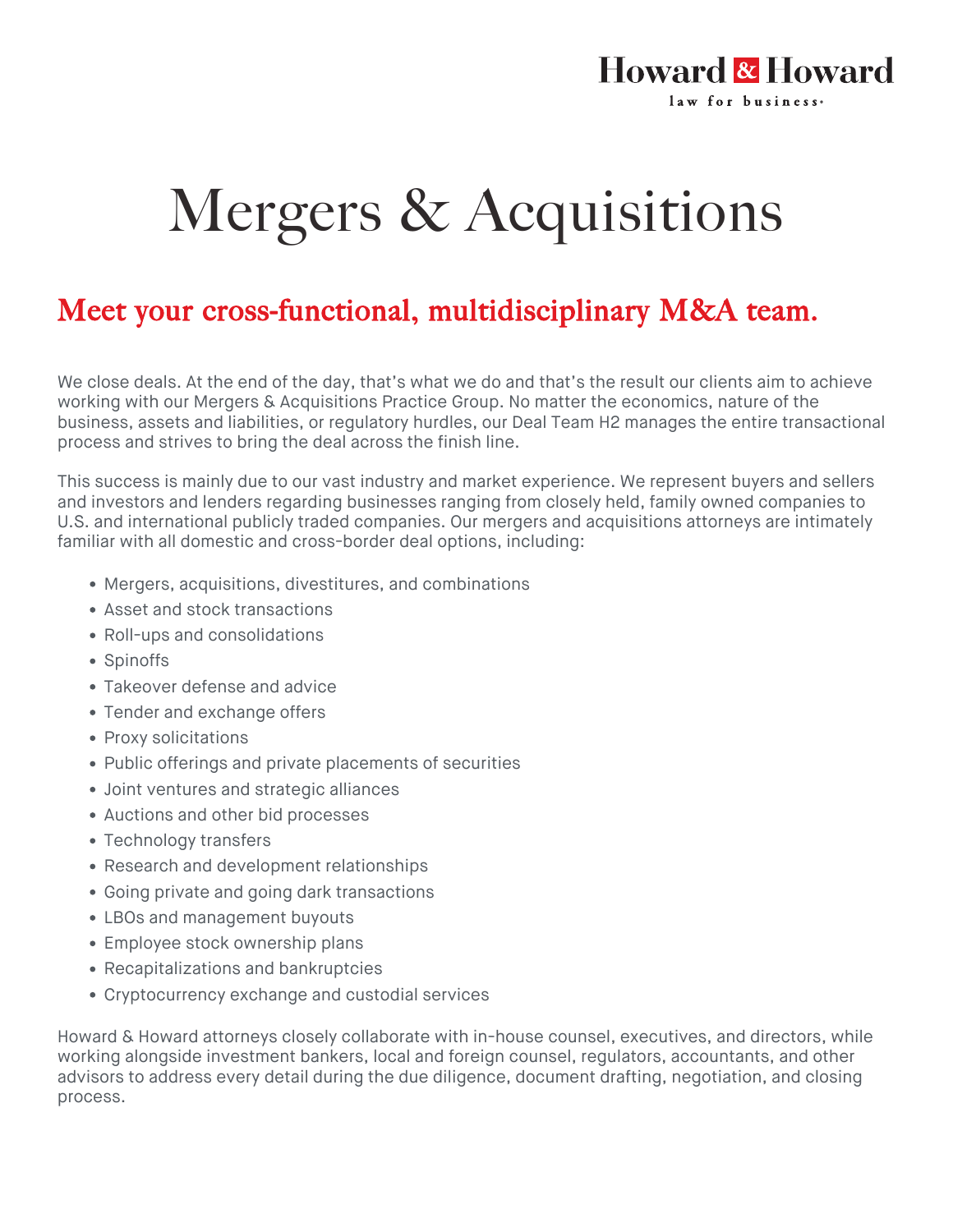## Mergers & Acquisitions

**Howard & Howard** 

law for business.

## Meet your cross-functional, multidisciplinary M&A team.

We close deals. At the end of the day, that's what we do and that's the result our clients aim to achieve working with our Mergers & Acquisitions Practice Group. No matter the economics, nature of the business, assets and liabilities, or regulatory hurdles, our Deal Team H2 manages the entire transactional process and strives to bring the deal across the finish line.

This success is mainly due to our vast industry and market experience. We represent buyers and sellers and investors and lenders regarding businesses ranging from closely held, family owned companies to U.S. and international publicly traded companies. Our mergers and acquisitions attorneys are intimately familiar with all domestic and cross-border deal options, including:

- Mergers, acquisitions, divestitures, and combinations
- Asset and stock transactions
- Roll-ups and consolidations
- Spinoffs
- Takeover defense and advice
- Tender and exchange offers
- Proxy solicitations
- Public offerings and private placements of securities
- Joint ventures and strategic alliances
- Auctions and other bid processes
- Technology transfers
- Research and development relationships
- Going private and going dark transactions
- LBOs and management buyouts
- Employee stock ownership plans
- Recapitalizations and bankruptcies
- Cryptocurrency exchange and custodial services

Howard & Howard attorneys closely collaborate with in-house counsel, executives, and directors, while working alongside investment bankers, local and foreign counsel, regulators, accountants, and other advisors to address every detail during the due diligence, document drafting, negotiation, and closing process.